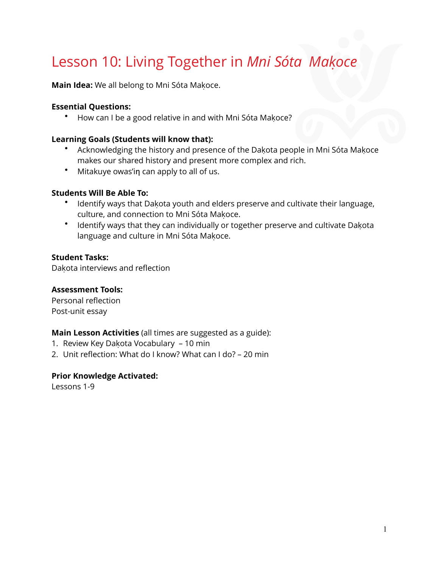# Lesson 10: Living Together in *Mni Sóta Makoce*

**Main Idea:** We all belong to Mni Sóta Makoce.

#### **Essential Questions:**

• How can I be a good relative in and with Mni Sóta Makoce?

#### **Learning Goals (Students will know that):**

- Acknowledging the history and presence of the Dakota people in Mni Sóta Makoce makes our shared history and present more complex and rich.
- Mitakuye owas'in can apply to all of us.

#### **Students Will Be Able To:**

- Identify ways that Dakota youth and elders preserve and cultivate their language, culture, and connection to Mni Sóta Makoce.
- Identify ways that they can individually or together preserve and cultivate Dakota language and culture in Mni Sóta Makoce.

#### **Student Tasks:**

Dakota interviews and reflection

#### **Assessment Tools:**

Personal reflection Post-unit essay

#### **Main Lesson Activities** (all times are suggested as a guide):

- 1. Review Key Dakota Vocabulary 10 min
- 2. Unit reflection: What do I know? What can I do? 20 min

#### **Prior Knowledge Activated:**

Lessons 1-9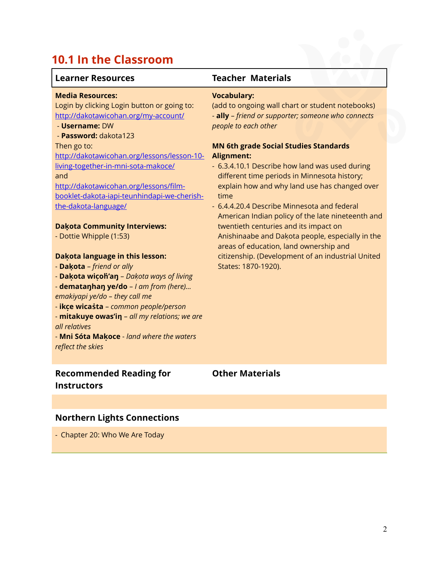# **10.1 In the Classroom**

| <b>Learner Resources</b>                                                                                                                                                                                                                                                                                                                                                                                                                                                                                                                                                                                                                                                                                                                                                                                                      | <b>Teacher Materials</b>                                                                                                                                                                                                                                                                                                                                                                                                                                                                                                                                                                                                                                                                                    |
|-------------------------------------------------------------------------------------------------------------------------------------------------------------------------------------------------------------------------------------------------------------------------------------------------------------------------------------------------------------------------------------------------------------------------------------------------------------------------------------------------------------------------------------------------------------------------------------------------------------------------------------------------------------------------------------------------------------------------------------------------------------------------------------------------------------------------------|-------------------------------------------------------------------------------------------------------------------------------------------------------------------------------------------------------------------------------------------------------------------------------------------------------------------------------------------------------------------------------------------------------------------------------------------------------------------------------------------------------------------------------------------------------------------------------------------------------------------------------------------------------------------------------------------------------------|
| <b>Media Resources:</b><br>Login by clicking Login button or going to:<br>http://dakotawicohan.org/my-account/<br>- Username: DW<br>- Password: dakota123<br>Then go to:<br>http://dakotawicohan.org/lessons/lesson-10-<br>living-together-in-mni-sota-makoce/<br>and<br>http://dakotawicohan.org/lessons/film-<br>booklet-dakota-iapi-teunhindapi-we-cherish-<br>the-dakota-language/<br><b>Dakota Community Interviews:</b><br>- Dottie Whipple (1:53)<br>Dakota language in this lesson:<br>- Dakota - friend or ally<br>- Dakota wicoh'an - Dakota ways of living<br>- dematanhan ye/do - I am from (here)<br>emakiyapi ye/do - they call me<br>- ikce wicasta - common people/person<br>- mitakuye owas'in - all my relations; we are<br>all relatives<br>- Mni Sóta Makoce - land where the waters<br>reflect the skies | <b>Vocabulary:</b><br>(add to ongoing wall chart or student notebooks)<br>- ally - friend or supporter; someone who connects<br>people to each other<br><b>MN 6th grade Social Studies Standards</b><br><b>Alignment:</b><br>- 6.3.4.10.1 Describe how land was used during<br>different time periods in Minnesota history;<br>explain how and why land use has changed over<br>time<br>- 6.4.4.20.4 Describe Minnesota and federal<br>American Indian policy of the late nineteenth and<br>twentieth centuries and its impact on<br>Anishinaabe and Dakota people, especially in the<br>areas of education, land ownership and<br>citizenship. (Development of an industrial United<br>States: 1870-1920). |
| <b>Recommended Reading for</b><br><b>Instructors</b>                                                                                                                                                                                                                                                                                                                                                                                                                                                                                                                                                                                                                                                                                                                                                                          | <b>Other Materials</b>                                                                                                                                                                                                                                                                                                                                                                                                                                                                                                                                                                                                                                                                                      |
|                                                                                                                                                                                                                                                                                                                                                                                                                                                                                                                                                                                                                                                                                                                                                                                                                               |                                                                                                                                                                                                                                                                                                                                                                                                                                                                                                                                                                                                                                                                                                             |

### **Northern Lights Connections**

- Chapter 20: Who We Are Today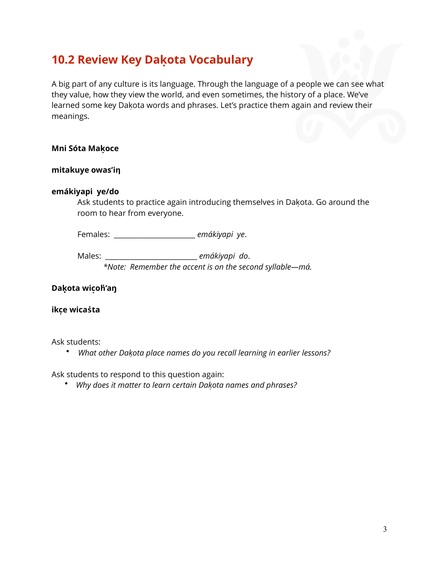### **10.2 Review Key Dakọ ta Vocabulary**

A big part of any culture is its language. Through the language of a people we can see what they value, how they view the world, and even sometimes, the history of a place. We've learned some key Dakota words and phrases. Let's practice them again and review their meanings.

#### **Mni Sóta Makọ ce**

#### **mitakuye owas'iƞ**

#### **emákiyapi ye/do**

Ask students to practice again introducing themselves in Dakota. Go around the room to hear from everyone.

Females: \_\_\_\_\_\_\_\_\_\_\_\_\_\_\_\_\_\_\_\_\_\_\_ *emákiyapi ye*.

Males: \_\_\_\_\_\_\_\_\_\_\_\_\_\_\_\_\_\_\_\_\_\_\_\_\_\_ *emákiyapi do*. *\*Note: Remember the accent is on the second syllable—má.* 

#### **Daḳota wicọ ḣ'aŋ**

#### **ikcẹ wicaṡta**

Ask students:

• *What other Dakoṭ a place names do you recall learning in earlier lessons?*

Ask students to respond to this question again:

• *Why does it matter to learn certain Dakoṭ a names and phrases?*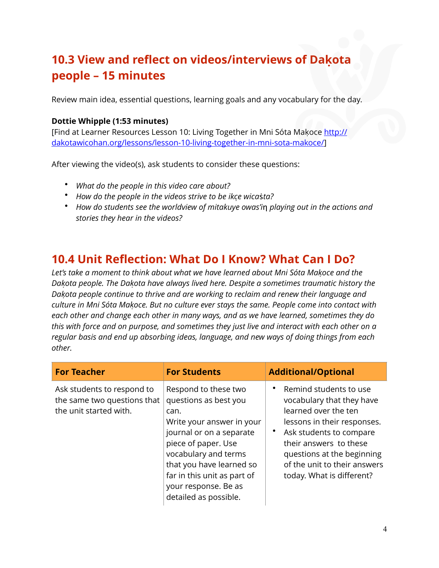### **10.3 View and reflect on videos/interviews of Dakọ ta people – 15 minutes**

Review main idea, essential questions, learning goals and any vocabulary for the day.

#### **Dottie Whipple (1:53 minutes)**

[Find at Learner Resources Lesson 10: Living Together in Mni Sóta Makoce [http://](http://dakotawicohan.org/lessons/lesson-10-living-together-in-mni-sota-makoce/) [dakotawicohan.org/lessons/lesson-10-living-together-in-mni-sota-makoce/](http://dakotawicohan.org/lessons/lesson-10-living-together-in-mni-sota-makoce/)]

After viewing the video(s), ask students to consider these questions:

- *What do the people in this video care about?*
- *How do the people in the videos strive to be ikcẹ wica*ṡ*ta?*
- How do students see the worldview of mitakuye owas'in playing out in the actions and *stories they hear in the videos?*

### **10.4 Unit Reflection: What Do I Know? What Can I Do?**

*Let's take a moment to think about what we have learned about Mni Sóta Makoc̣ e and the Dakoṭ a people. The Dakoṭ a have always lived here. Despite a sometimes traumatic history the Dakoṭ a people continue to thrive and are working to reclaim and renew their language and culture in Mni Sóta Makoc̣ e. But no culture ever stays the same. People come into contact with each other and change each other in many ways, and as we have learned, sometimes they do this with force and on purpose, and sometimes they just live and interact with each other on a regular basis and end up absorbing ideas, language, and new ways of doing things from each other.* 

| <b>For Teacher</b>                                                                  | <b>For Students</b>                                                                                                                                                                                                                                                       | <b>Additional/Optional</b>                                                                                                                                                                                                                                 |
|-------------------------------------------------------------------------------------|---------------------------------------------------------------------------------------------------------------------------------------------------------------------------------------------------------------------------------------------------------------------------|------------------------------------------------------------------------------------------------------------------------------------------------------------------------------------------------------------------------------------------------------------|
| Ask students to respond to<br>the same two questions that<br>the unit started with. | Respond to these two<br>questions as best you<br>can.<br>Write your answer in your<br>journal or on a separate<br>piece of paper. Use<br>vocabulary and terms<br>that you have learned so<br>far in this unit as part of<br>your response. Be as<br>detailed as possible. | Remind students to use<br>vocabulary that they have<br>learned over the ten<br>lessons in their responses.<br>Ask students to compare<br>their answers to these<br>questions at the beginning<br>of the unit to their answers<br>today. What is different? |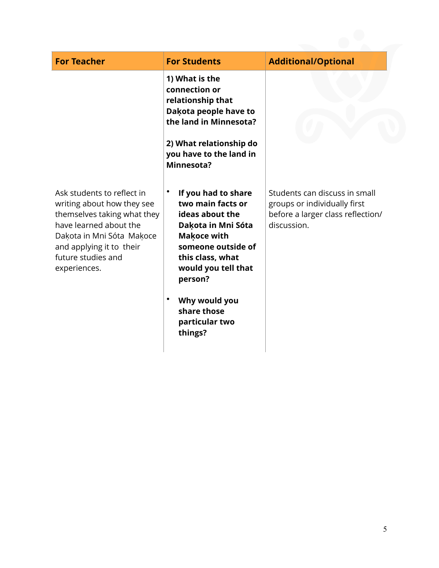| <b>For Teacher</b>                                                                                                                                                                                               | <b>For Students</b>                                                                                                                                                                              | <b>Additional/Optional</b>                                                                                        |
|------------------------------------------------------------------------------------------------------------------------------------------------------------------------------------------------------------------|--------------------------------------------------------------------------------------------------------------------------------------------------------------------------------------------------|-------------------------------------------------------------------------------------------------------------------|
|                                                                                                                                                                                                                  | 1) What is the<br>connection or<br>relationship that<br>Dakota people have to<br>the land in Minnesota?                                                                                          |                                                                                                                   |
|                                                                                                                                                                                                                  | 2) What relationship do<br>you have to the land in<br>Minnesota?                                                                                                                                 |                                                                                                                   |
| Ask students to reflect in<br>writing about how they see<br>themselves taking what they<br>have learned about the<br>Daķota in Mni Sóta Maķoce<br>and applying it to their<br>future studies and<br>experiences. | $\bullet$<br>If you had to share<br>two main facts or<br>ideas about the<br>Dakota in Mni Sóta<br><b>Makoce with</b><br>someone outside of<br>this class, what<br>would you tell that<br>person? | Students can discuss in small<br>groups or individually first<br>before a larger class reflection/<br>discussion. |
|                                                                                                                                                                                                                  | Why would you<br>٠<br>share those<br>particular two<br>things?                                                                                                                                   |                                                                                                                   |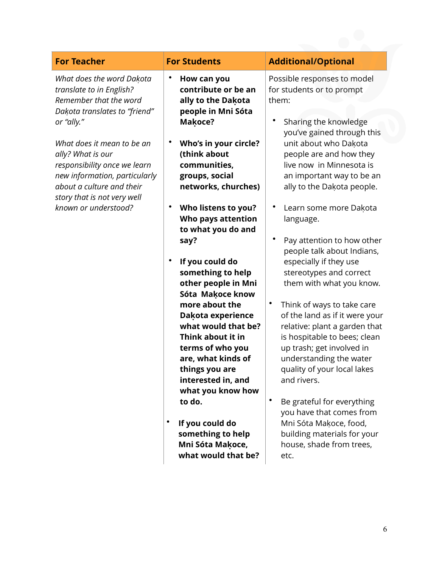| <b>For Teacher</b>                                                                                                                                                                                                                                                                                                                     | <b>For Students</b>                                                                                                                                                                                                                                                                                                                                                                                                                                                                                                                                                                                                                              | <b>Additional/Optional</b>                                                                                                                                                                                                                                                                                                                                                                                                                                                                                                                                                                                                                                                                                                                                                                                                                                                      |
|----------------------------------------------------------------------------------------------------------------------------------------------------------------------------------------------------------------------------------------------------------------------------------------------------------------------------------------|--------------------------------------------------------------------------------------------------------------------------------------------------------------------------------------------------------------------------------------------------------------------------------------------------------------------------------------------------------------------------------------------------------------------------------------------------------------------------------------------------------------------------------------------------------------------------------------------------------------------------------------------------|---------------------------------------------------------------------------------------------------------------------------------------------------------------------------------------------------------------------------------------------------------------------------------------------------------------------------------------------------------------------------------------------------------------------------------------------------------------------------------------------------------------------------------------------------------------------------------------------------------------------------------------------------------------------------------------------------------------------------------------------------------------------------------------------------------------------------------------------------------------------------------|
| What does the word Dakota<br>translate to in English?<br>Remember that the word<br>Dakota translates to "friend"<br>or "ally."<br>What does it mean to be an<br>ally? What is our<br>responsibility once we learn<br>new information, particularly<br>about a culture and their<br>story that is not very well<br>known or understood? | How can you<br>contribute or be an<br>ally to the Dakota<br>people in Mni Sóta<br>Makoce?<br>Who's in your circle?<br>(think about<br>communities,<br>groups, social<br>networks, churches)<br>Who listens to you?<br>Who pays attention<br>to what you do and<br>say?<br>If you could do<br>something to help<br>other people in Mni<br>Sóta Makoce know<br>more about the<br>Dakota experience<br>what would that be?<br>Think about it in<br>terms of who you<br>are, what kinds of<br>things you are<br>interested in, and<br>what you know how<br>to do.<br>If you could do<br>something to help<br>Mni Sóta Makoce,<br>what would that be? | Possible responses to model<br>for students or to prompt<br>them:<br>Sharing the knowledge<br>you've gained through this<br>unit about who Dakota<br>people are and how they<br>live now in Minnesota is<br>an important way to be an<br>ally to the Dakota people.<br>Learn some more Dakota<br>language.<br>Pay attention to how other<br>people talk about Indians,<br>especially if they use<br>stereotypes and correct<br>them with what you know.<br>$\bullet$<br>Think of ways to take care<br>of the land as if it were your<br>relative: plant a garden that<br>is hospitable to bees; clean<br>up trash; get involved in<br>understanding the water<br>quality of your local lakes<br>and rivers.<br>$\bullet$<br>Be grateful for everything<br>you have that comes from<br>Mni Sóta Makoce, food,<br>building materials for your<br>house, shade from trees,<br>etc. |